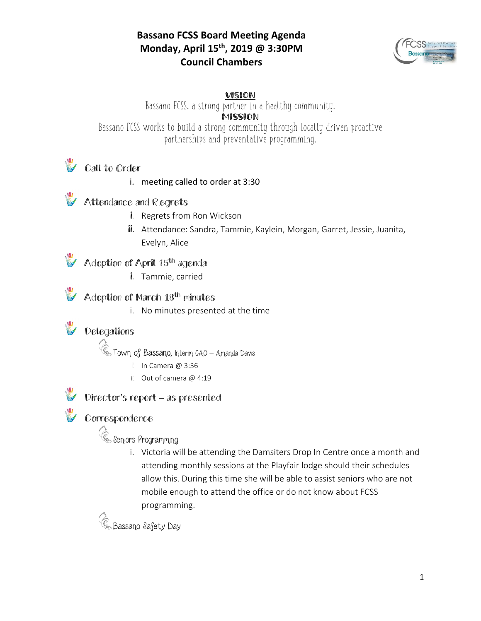#### **Bassano FCSS Board Meeting Agenda Monday, April 15th, 2019 @ 3:30PM Council Chambers**



VISION

Bassano FCSS, a strong partner in a healthy community. MISSION Bassano FCSS works to build a strong community through locally driven proactive partnerships and preventative programming.

### **Call to Order**

- i. meeting called to order at 3:30
- **W** Attendance and Regrets
	- i. Regrets from Ron Wickson
	- ii. Attendance: Sandra, Tammie, Kaylein, Morgan, Garret, Jessie, Juanita, Evelyn, Alice

### **Adoption of April 15th agenda**

i. Tammie, carried

Adoption of March 18<sup>th</sup> minutes

i. No minutes presented at the time

#### 恩 Delegations

 $\operatorname{\mathscr{C}}$ Town of Bassano, Interim CAO – Amanda Davis

- i. In Camera @ 3:36
- ii. Out of camera @ 4:19



# Director's report – as presented

### **Correspondence**

**Cons Programming** 

i. Victoria will be attending the Damsiters Drop In Centre once a month and attending monthly sessions at the Playfair lodge should their schedules allow this. During this time she will be able to assist seniors who are not mobile enough to attend the office or do not know about FCSS programming.



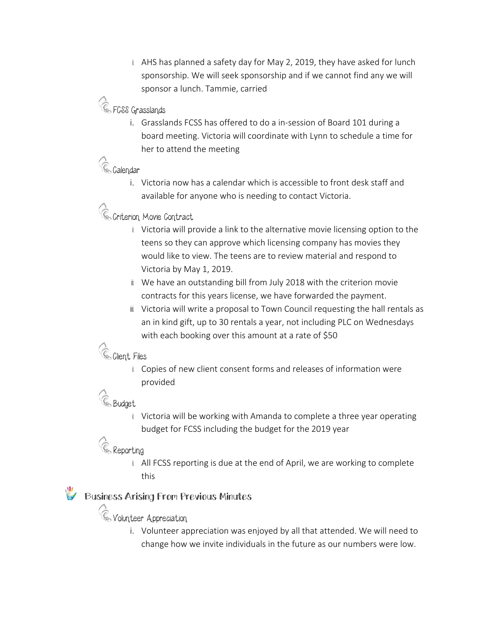i. AHS has planned a safety day for May 2, 2019, they have asked for lunch sponsorship. We will seek sponsorship and if we cannot find any we will sponsor a lunch. Tammie, carried

### **C**e FGSS Grasslands

i. Grasslands FCSS has offered to do a in-session of Board 101 during a board meeting. Victoria will coordinate with Lynn to schedule a time for her to attend the meeting

### Ces Galendar

i. Victoria now has a calendar which is accessible to front desk staff and available for anyone who is needing to contact Victoria.

#### **C**s Griterion Movie Gontract

- i. Victoria will provide a link to the alternative movie licensing option to the teens so they can approve which licensing company has movies they would like to view. The teens are to review material and respond to Victoria by May 1, 2019.
- ii. We have an outstanding bill from July 2018 with the criterion movie contracts for this years license, we have forwarded the payment.
- iii. Victoria will write a proposal to Town Council requesting the hall rentals as an in kind gift, up to 30 rentals a year, not including PLC on Wednesdays with each booking over this amount at a rate of \$50

### Cont Files

i. Copies of new client consent forms and releases of information were provided.

#### **C** Budget

i. Victoria will be working with Amanda to complete a three year operating budget for FCSS including the budget for the 2019 year

### **C** Reporting

i. All FCSS reporting is due at the end of April, we are working to complete this

### Business Arising From Previous Minutes

**C** Volunteer Appreciation

i. Volunteer appreciation was enjoyed by all that attended. We will need to change how we invite individuals in the future as our numbers were low.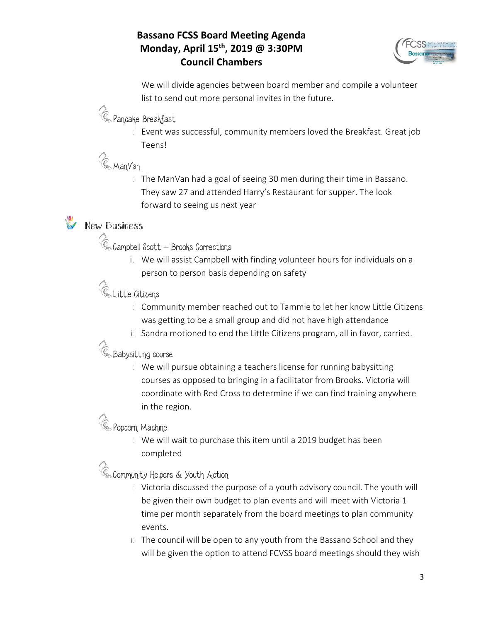#### **Bassano FCSS Board Meeting Agenda Monday, April 15th, 2019 @ 3:30PM Council Chambers**



We will divide agencies between board member and compile a volunteer list to send out more personal invites in the future.

**C** Pancake Breakfast

i. Event was successful, community members loved the Breakfast. Great job Teens!

## ManVan

i. The ManVan had a goal of seeing 30 men during their time in Bassano. They saw 27 and attended Harry's Restaurant for supper. The look forward to seeing us next year

### **W** New Business

 $\mathscr{\mathscr{C}}$  Campbell Scott  $-$  Brooks Corrections

i. We will assist Campbell with finding volunteer hours for individuals on a person to person basis depending on safety

### **C** Little Citizens

- i. Community member reached out to Tammie to let her know Little Citizens was getting to be a small group and did not have high attendance
- ii. Sandra motioned to end the Little Citizens program, all in favor, carried.

#### **& Babysitting course**

i. We will pursue obtaining a teachers license for running babysitting courses as opposed to bringing in a facilitator from Brooks. Victoria will coordinate with Red Cross to determine if we can find training anywhere in the region.

**C** Popcorn Machine

i. We will wait to purchase this item until a 2019 budget has been completed

#### $\operatorname{\mathbb{C}}$  Community Helpers & Youth Action

- i. Victoria discussed the purpose of a youth advisory council. The youth will be given their own budget to plan events and will meet with Victoria 1 time per month separately from the board meetings to plan community events.
- ii. The council will be open to any youth from the Bassano School and they will be given the option to attend FCVSS board meetings should they wish